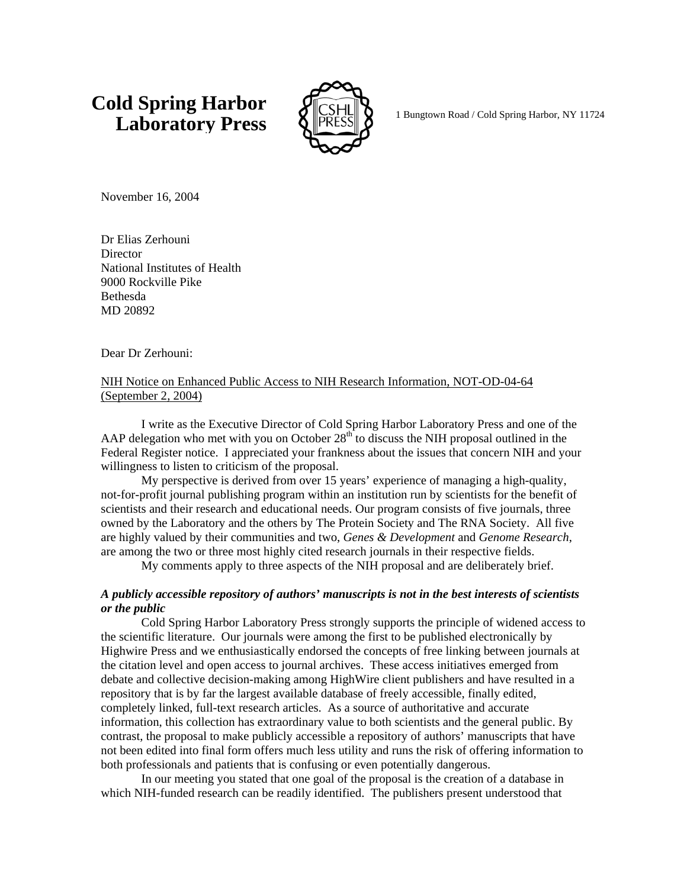# **Cold Spring Harbor Laboratory Press**  $\bigotimes_{\mathbb{R}} \mathbb{R}$  **PRESS**  $\bigotimes_{\mathbb{R}} \mathbb{R}$  **1 Bungtown Road / Cold Spring Harbor, NY 11724**



November 16, 2004

Dr Elias Zerhouni **Director** National Institutes of Health 9000 Rockville Pike Bethesda MD 20892

Dear Dr Zerhouni:

## NIH Notice on Enhanced Public Access to NIH Research Information, NOT-OD-04-64 (September 2, 2004)

I write as the Executive Director of Cold Spring Harbor Laboratory Press and one of the AAP delegation who met with you on October  $28<sup>th</sup>$  to discuss the NIH proposal outlined in the Federal Register notice. I appreciated your frankness about the issues that concern NIH and your willingness to listen to criticism of the proposal.

My perspective is derived from over 15 years' experience of managing a high-quality, not-for-profit journal publishing program within an institution run by scientists for the benefit of scientists and their research and educational needs. Our program consists of five journals, three owned by the Laboratory and the others by The Protein Society and The RNA Society. All five are highly valued by their communities and two, *Genes & Development* and *Genome Research*, are among the two or three most highly cited research journals in their respective fields.

My comments apply to three aspects of the NIH proposal and are deliberately brief.

### *A publicly accessible repository of authors' manuscripts is not in the best interests of scientists or the public*

Cold Spring Harbor Laboratory Press strongly supports the principle of widened access to the scientific literature. Our journals were among the first to be published electronically by Highwire Press and we enthusiastically endorsed the concepts of free linking between journals at the citation level and open access to journal archives. These access initiatives emerged from debate and collective decision-making among HighWire client publishers and have resulted in a repository that is by far the largest available database of freely accessible, finally edited, completely linked, full-text research articles. As a source of authoritative and accurate information, this collection has extraordinary value to both scientists and the general public. By contrast, the proposal to make publicly accessible a repository of authors' manuscripts that have not been edited into final form offers much less utility and runs the risk of offering information to both professionals and patients that is confusing or even potentially dangerous.

In our meeting you stated that one goal of the proposal is the creation of a database in which NIH-funded research can be readily identified. The publishers present understood that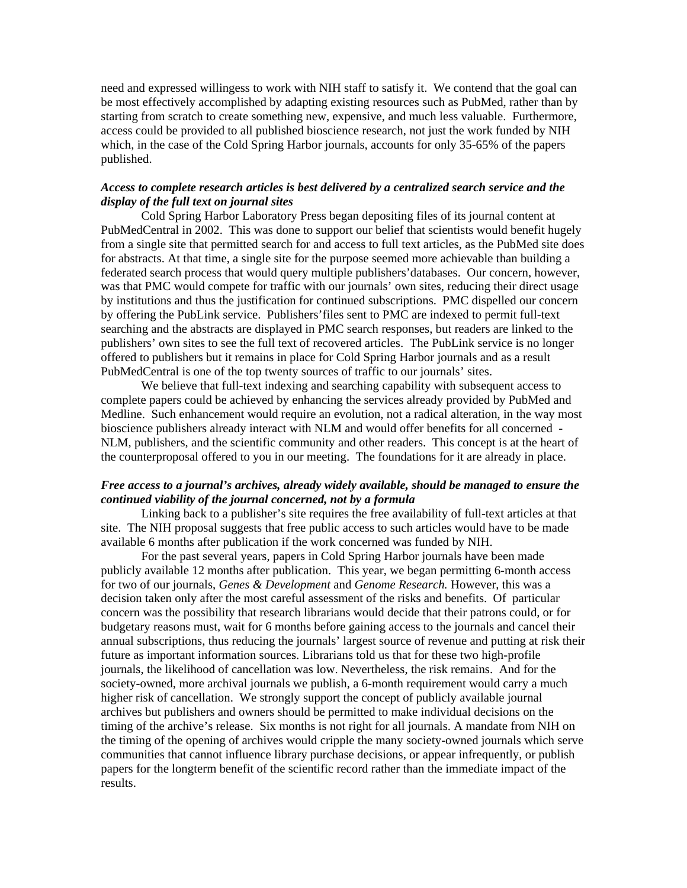need and expressed willingess to work with NIH staff to satisfy it. We contend that the goal can be most effectively accomplished by adapting existing resources such as PubMed, rather than by starting from scratch to create something new, expensive, and much less valuable. Furthermore, access could be provided to all published bioscience research, not just the work funded by NIH which, in the case of the Cold Spring Harbor journals, accounts for only 35-65% of the papers published.

### *Access to complete research articles is best delivered by a centralized search service and the display of the full text on journal sites*

 Cold Spring Harbor Laboratory Press began depositing files of its journal content at PubMedCentral in 2002. This was done to support our belief that scientists would benefit hugely from a single site that permitted search for and access to full text articles, as the PubMed site does for abstracts. At that time, a single site for the purpose seemed more achievable than building a federated search process that would query multiple publishers'databases. Our concern, however, was that PMC would compete for traffic with our journals' own sites, reducing their direct usage by institutions and thus the justification for continued subscriptions. PMC dispelled our concern by offering the PubLink service. Publishers'files sent to PMC are indexed to permit full-text searching and the abstracts are displayed in PMC search responses, but readers are linked to the publishers' own sites to see the full text of recovered articles. The PubLink service is no longer offered to publishers but it remains in place for Cold Spring Harbor journals and as a result PubMedCentral is one of the top twenty sources of traffic to our journals' sites.

We believe that full-text indexing and searching capability with subsequent access to complete papers could be achieved by enhancing the services already provided by PubMed and Medline. Such enhancement would require an evolution, not a radical alteration, in the way most bioscience publishers already interact with NLM and would offer benefits for all concerned - NLM, publishers, and the scientific community and other readers. This concept is at the heart of the counterproposal offered to you in our meeting. The foundations for it are already in place.

### *Free access to a journal's archives, already widely available, should be managed to ensure the continued viability of the journal concerned, not by a formula*

Linking back to a publisher's site requires the free availability of full-text articles at that site. The NIH proposal suggests that free public access to such articles would have to be made available 6 months after publication if the work concerned was funded by NIH.

For the past several years, papers in Cold Spring Harbor journals have been made publicly available 12 months after publication. This year, we began permitting 6-month access for two of our journals, *Genes & Development* and *Genome Research.* However, this was a decision taken only after the most careful assessment of the risks and benefits. Of particular concern was the possibility that research librarians would decide that their patrons could, or for budgetary reasons must, wait for 6 months before gaining access to the journals and cancel their annual subscriptions, thus reducing the journals' largest source of revenue and putting at risk their future as important information sources. Librarians told us that for these two high-profile journals, the likelihood of cancellation was low. Nevertheless, the risk remains. And for the society-owned, more archival journals we publish, a 6-month requirement would carry a much higher risk of cancellation. We strongly support the concept of publicly available journal archives but publishers and owners should be permitted to make individual decisions on the timing of the archive's release. Six months is not right for all journals. A mandate from NIH on the timing of the opening of archives would cripple the many society-owned journals which serve communities that cannot influence library purchase decisions, or appear infrequently, or publish papers for the longterm benefit of the scientific record rather than the immediate impact of the results.